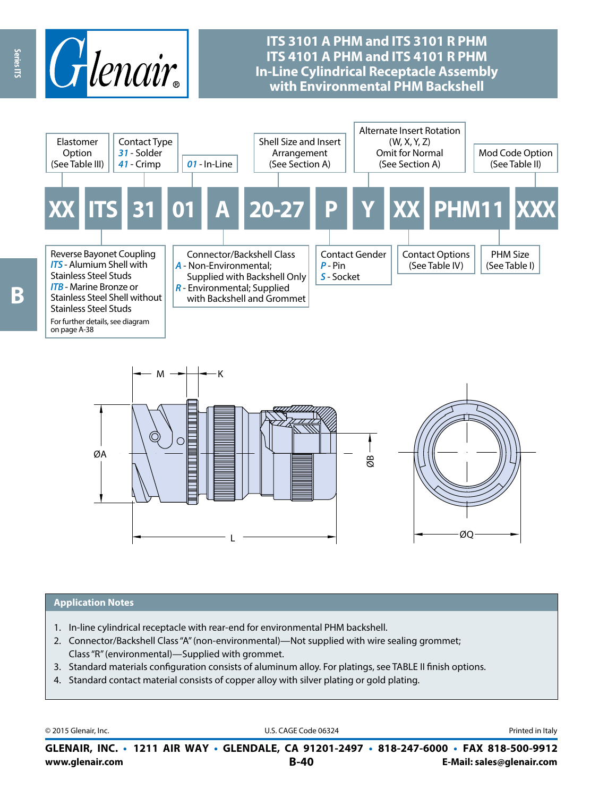

# **ITS 3101 A PHM and ITS 3101 R PHM ITS 4101 A PHM and ITS 4101 R PHM In-Line Cylindrical Receptacle Assembly with Environmental PHM Backshell**



K L ØQ ØA ØB M

#### **Application Notes**

- 1. In-line cylindrical receptacle with rear-end for environmental PHM backshell.
- 2. Connector/Backshell Class "A" (non-environmental)—Not supplied with wire sealing grommet; Class "R" (environmental)—Supplied with grommet.
- 3. Standard materials configuration consists of aluminum alloy. For platings, see TABLE II finish options.
- 4. Standard contact material consists of copper alloy with silver plating or gold plating.

© 2015 Glenair, Inc. **Discription Construction Construction Construction Construction Construction Construction Construction Construction Construction Construction Construction Construction Construction Construction Constr** 

**www.glenair.com B-40 E-Mail: sales@glenair.com GLENAIR, INC. • 1211 AIR WAY • GLENDALE, CA 91201-2497 • 818-247-6000 • FAX 818-500-9912**

on page A-38